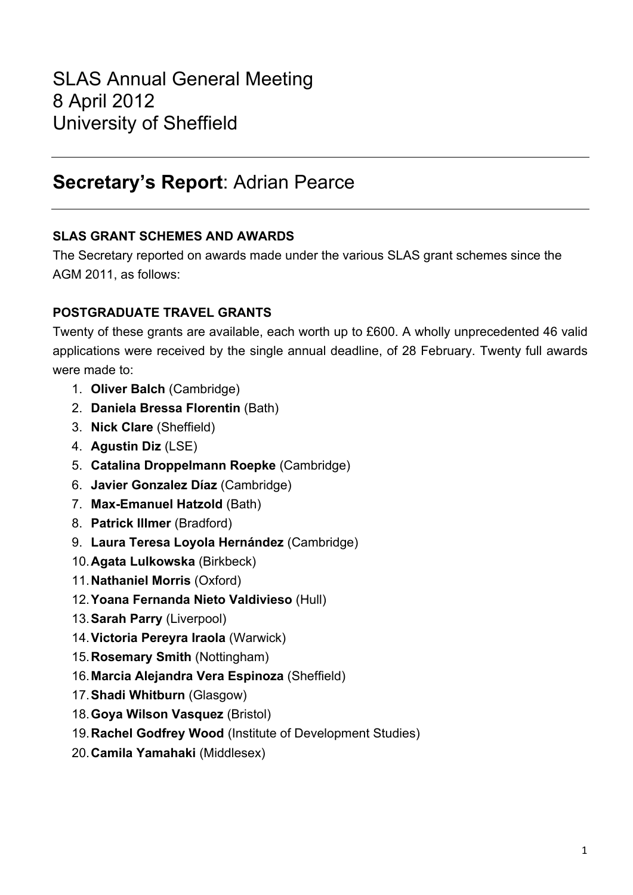# **Secretary's Report**: Adrian Pearce

### **SLAS GRANT SCHEMES AND AWARDS**

The Secretary reported on awards made under the various SLAS grant schemes since the AGM 2011, as follows:

### **POSTGRADUATE TRAVEL GRANTS**

Twenty of these grants are available, each worth up to £600. A wholly unprecedented 46 valid applications were received by the single annual deadline, of 28 February. Twenty full awards were made to:

- 1. **Oliver Balch** (Cambridge)
- 2. **Daniela Bressa Florentin** (Bath)
- 3. **Nick Clare** (Sheffield)
- 4. **Agustin Diz** (LSE)
- 5. **Catalina Droppelmann Roepke** (Cambridge)
- 6. **Javier Gonzalez Díaz** (Cambridge)
- 7. **Max-Emanuel Hatzold** (Bath)
- 8. **Patrick Illmer** (Bradford)
- 9. **Laura Teresa Loyola Hernández** (Cambridge)
- 10.**Agata Lulkowska** (Birkbeck)
- 11.**Nathaniel Morris** (Oxford)
- 12.**Yoana Fernanda Nieto Valdivieso** (Hull)
- 13.**Sarah Parry** (Liverpool)
- 14.**Victoria Pereyra Iraola** (Warwick)
- 15.**Rosemary Smith** (Nottingham)
- 16.**Marcia Alejandra Vera Espinoza** (Sheffield)
- 17.**Shadi Whitburn** (Glasgow)
- 18.**Goya Wilson Vasquez** (Bristol)
- 19.**Rachel Godfrey Wood** (Institute of Development Studies)
- 20.**Camila Yamahaki** (Middlesex)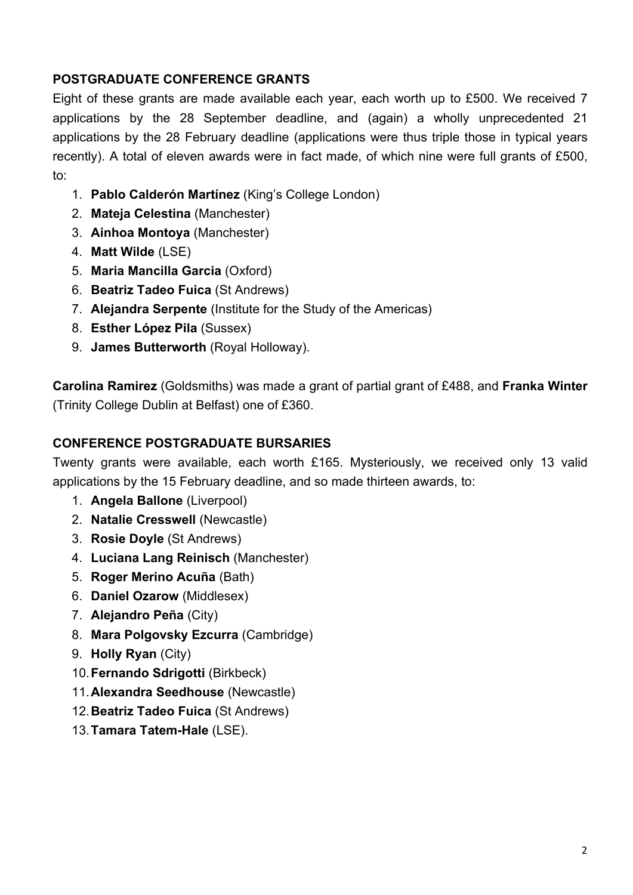# **POSTGRADUATE CONFERENCE GRANTS**

Eight of these grants are made available each year, each worth up to £500. We received 7 applications by the 28 September deadline, and (again) a wholly unprecedented 21 applications by the 28 February deadline (applications were thus triple those in typical years recently). A total of eleven awards were in fact made, of which nine were full grants of £500, to:

- 1. **Pablo Calderón Martínez** (King's College London)
- 2. **Mateja Celestina** (Manchester)
- 3. **Ainhoa Montoya** (Manchester)
- 4. **Matt Wilde** (LSE)
- 5. **Maria Mancilla Garcia** (Oxford)
- 6. **Beatriz Tadeo Fuica** (St Andrews)
- 7. **Alejandra Serpente** (Institute for the Study of the Americas)
- 8. **Esther López Pila** (Sussex)
- 9. **James Butterworth** (Royal Holloway).

**Carolina Ramirez** (Goldsmiths) was made a grant of partial grant of £488, and **Franka Winter** (Trinity College Dublin at Belfast) one of £360.

### **CONFERENCE POSTGRADUATE BURSARIES**

Twenty grants were available, each worth £165. Mysteriously, we received only 13 valid applications by the 15 February deadline, and so made thirteen awards, to:

- 1. **Angela Ballone** (Liverpool)
- 2. **Natalie Cresswell** (Newcastle)
- 3. **Rosie Doyle** (St Andrews)
- 4. **Luciana Lang Reinisch** (Manchester)
- 5. **Roger Merino Acuña** (Bath)
- 6. **Daniel Ozarow** (Middlesex)
- 7. **Alejandro Peña** (City)
- 8. **Mara Polgovsky Ezcurra** (Cambridge)
- 9. **Holly Ryan** (City)
- 10.**Fernando Sdrigotti** (Birkbeck)
- 11.**Alexandra Seedhouse** (Newcastle)
- 12.**Beatriz Tadeo Fuica** (St Andrews)
- 13.**Tamara Tatem-Hale** (LSE).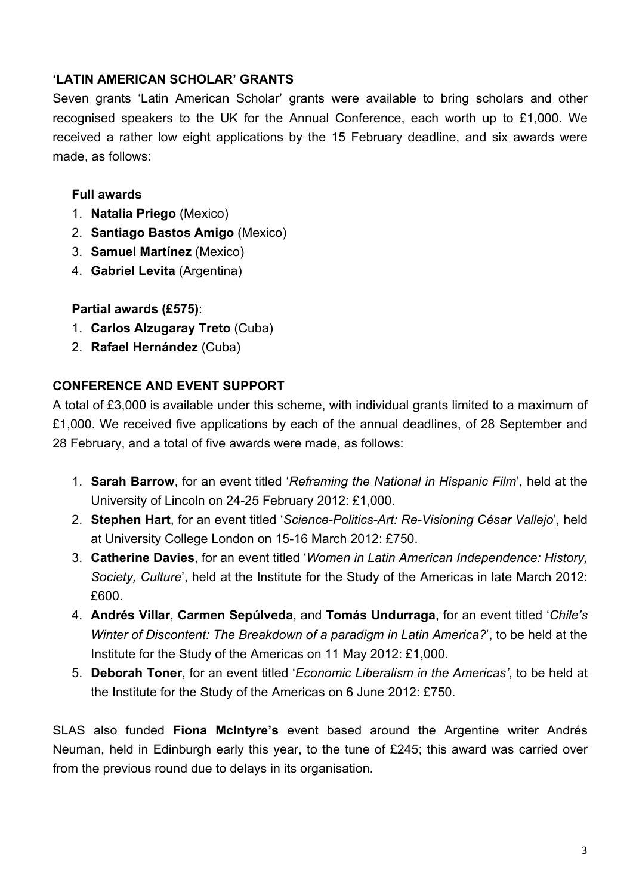# **'LATIN AMERICAN SCHOLAR' GRANTS**

Seven grants 'Latin American Scholar' grants were available to bring scholars and other recognised speakers to the UK for the Annual Conference, each worth up to £1,000. We received a rather low eight applications by the 15 February deadline, and six awards were made, as follows:

## **Full awards**

- 1. **Natalia Priego** (Mexico)
- 2. **Santiago Bastos Amigo** (Mexico)
- 3. **Samuel Martínez** (Mexico)
- 4. **Gabriel Levita** (Argentina)

### **Partial awards (£575)**:

- 1. **Carlos Alzugaray Treto** (Cuba)
- 2. **Rafael Hernández** (Cuba)

# **CONFERENCE AND EVENT SUPPORT**

A total of £3,000 is available under this scheme, with individual grants limited to a maximum of £1,000. We received five applications by each of the annual deadlines, of 28 September and 28 February, and a total of five awards were made, as follows:

- 1. **Sarah Barrow**, for an event titled '*Reframing the National in Hispanic Film*', held at the University of Lincoln on 24-25 February 2012: £1,000.
- 2. **Stephen Hart**, for an event titled '*Science-Politics-Art: Re-Visioning César Vallejo*', held at University College London on 15-16 March 2012: £750.
- 3. **Catherine Davies**, for an event titled '*Women in Latin American Independence: History, Society, Culture*', held at the Institute for the Study of the Americas in late March 2012: £600.
- 4. **Andrés Villar**, **Carmen Sepúlveda**, and **Tomás Undurraga**, for an event titled '*Chile's Winter of Discontent: The Breakdown of a paradigm in Latin America?*', to be held at the Institute for the Study of the Americas on 11 May 2012: £1,000.
- 5. **Deborah Toner**, for an event titled '*Economic Liberalism in the Americas'*, to be held at the Institute for the Study of the Americas on 6 June 2012: £750.

SLAS also funded **Fiona McIntyre's** event based around the Argentine writer Andrés Neuman, held in Edinburgh early this year, to the tune of £245; this award was carried over from the previous round due to delays in its organisation.